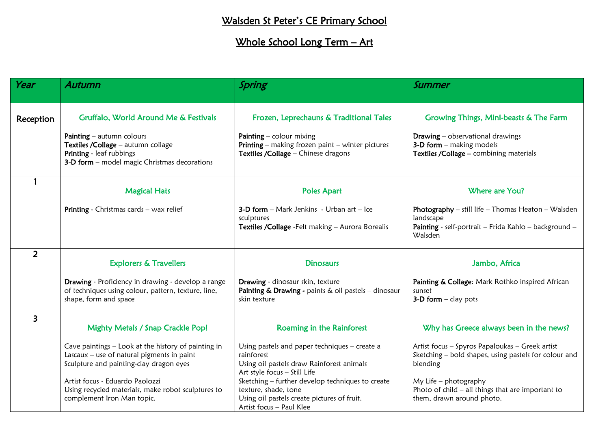## Walsden St Peter's CE Primary School

## Whole School Long Term - Art

| Year                    | Autumn                                                                                                                                         | Spring                                                                                                                                              | Summer                                                                                                                                     |
|-------------------------|------------------------------------------------------------------------------------------------------------------------------------------------|-----------------------------------------------------------------------------------------------------------------------------------------------------|--------------------------------------------------------------------------------------------------------------------------------------------|
|                         |                                                                                                                                                |                                                                                                                                                     |                                                                                                                                            |
| Reception               | Gruffalo, World Around Me & Festivals                                                                                                          | Frozen, Leprechauns & Traditional Tales                                                                                                             | Growing Things, Mini-beasts & The Farm                                                                                                     |
|                         | Painting - autumn colours<br>Textiles / Collage - autumn collage<br>Printing - leaf rubbings<br>3-D form - model magic Christmas decorations   | Painting $-$ colour mixing<br><b>Printing</b> – making frozen paint – winter pictures<br>Textiles / Collage - Chinese dragons                       | <b>Drawing</b> - observational drawings<br>3-D form - making models<br>Textiles / Collage - combining materials                            |
|                         | <b>Magical Hats</b>                                                                                                                            | <b>Poles Apart</b>                                                                                                                                  | Where are You?                                                                                                                             |
|                         | Printing - Christmas cards - wax relief                                                                                                        | <b>3-D form</b> $-$ Mark Jenkins $-$ Urban art $-$ Ice<br>sculptures<br>Textiles / Collage - Felt making - Aurora Borealis                          | <b>Photography</b> – still life – Thomas Heaton – Walsden<br>landscape<br>Painting - self-portrait - Frida Kahlo - background -<br>Walsden |
| $\overline{2}$          | <b>Explorers &amp; Travellers</b>                                                                                                              | <b>Dinosaurs</b>                                                                                                                                    | Jambo, Africa                                                                                                                              |
|                         | Drawing - Proficiency in drawing - develop a range<br>of techniques using colour, pattern, texture, line,<br>shape, form and space             | Drawing - dinosaur skin, texture<br>Painting & Drawing - paints & oil pastels - dinosaur<br>skin texture                                            | Painting & Collage: Mark Rothko inspired African<br>sunset<br>$3-D$ form $-$ clay pots                                                     |
| $\overline{\mathbf{3}}$ | <b>Mighty Metals / Snap Crackle Pop!</b>                                                                                                       | Roaming in the Rainforest                                                                                                                           | Why has Greece always been in the news?                                                                                                    |
|                         | Cave paintings - Look at the history of painting in<br>Lascaux $-$ use of natural pigments in paint<br>Sculpture and painting-clay dragon eyes | Using pastels and paper techniques - create a<br>rainforest<br>Using oil pastels draw Rainforest animals<br>Art style focus - Still Life            | Artist focus - Spyros Papaloukas - Greek artist<br>Sketching - bold shapes, using pastels for colour and<br>blending                       |
|                         | Artist focus - Eduardo Paolozzi<br>Using recycled materials, make robot sculptures to<br>complement Iron Man topic.                            | Sketching - further develop techniques to create<br>texture, shade, tone<br>Using oil pastels create pictures of fruit.<br>Artist focus - Paul Klee | My Life $-$ photography<br>Photo of $child$ – all things that are important to<br>them, drawn around photo.                                |